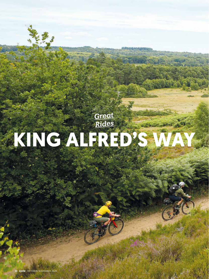# **KING ALFRED'S WAY** *Great Rides*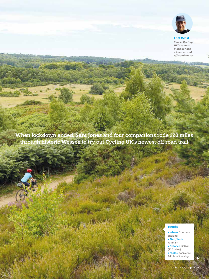

## SAM JONES

*Sam is Cycling UK's comms manager and a keen on and off-road tourer*

**When lockdown ended, Sam Jones and four companions rode 220 miles through historic Wessex to try out Cycling UK's newest off-road trail**

me Po

## *Details*

Where: Southern England • Start/finish: Farnham Distance: 350km (220 miles) **• Photos: pannier.cc** 

& Robby Spanring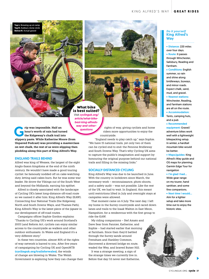```
Top L: Brewing up at camp
      ebury stone cir
bw R: Actual gravel
```




**What bike is best suited?** Visit *cyclinguk.org/ article/what-bike-*

*best-king-alfreds-*

*questions*

rip was impossible. Half an hour's worth of rain had turn<br>the Ridgeway's chalk trail in slinnery paste. While Katherine Mo **hour's worth of rain had turned the Ridgeway's chalk trail into slippery paste. While Katherine Moore (from Unpaved Podcast) was providing a masterclass on wet chalk, the rest of us were slipping then plodding along this part of King Alfred's Way.** *way-and-other-*

### ENGLAND TRAILS BEHIND

Alfred was king of Wessex, the largest of the eight Anglo-Saxon kingdoms at the end of the ninth century. He wouldn't have made a good touring cyclist: he famously nodded off on cake-watching duty, letting said cakes burn. But he was some war leader. He drove the Vikings out of the South West and beyond the Midlands, earning his epithet.

Alfred is closely associated with the landscape of Cycling UK's latest long-distance off-road route so we named it after him: King Alfred's Way (KAW). Connecting four National Trails (the Ridgeway, North and South Downs Ways, and Thames Path), King Alfred's Way is the latest piece of the jigsaw in our development of off-road routes.

Campaigns officer Sophie Gordon explains: "Thanks to Cycling UK's work around Scotland's 2003 Land Reform Act, cyclists can enjoy similar access to the countryside as walkers and other outdoor enthusiasts. In Wales and England it's a very different story."

In these two countries, almost 80% of the rights of way network is barred to you. After five years of campaigning by Cycling UK and OpenMTB **(cyclinguk.org/trailsforwales**), the winds of change are blowing in Wales. The Welsh Government is exploring how they can change their

rights of way, giving cyclists and horse riders more opportunities to enjoy the countryside.

"England needs to play catch up," says Sophie. "We have 15 national trails, yet only two of them can be cycled end to end: the Pennine Bridleway and South Downs Way. That's why Cycling UK aims to capture the public's imagination and support by honouring the original purpose behind our national trails and filling in the missing links."

#### SOCIALLY-DISTANCED CYCLING

King Alfred's Way was due to be launched in June. With the country in lockdown since March, the necessary work – reconnaissance, photo shoots, and a safety audit – was not possible. Like the rest of the UK, we had to wait. In England, this meant until restrictions lifted in July and overnight stays at campsites were allowed.

That moment came on 6 July. The next day, I left my home in the Surrey countryside and raced down lanes and trails to the Izaak Walton in East Meon, Hampshire, for a rendezvous with the first group to ride the KAW.

My riding companions – Stef Amato and Dave Sear from Pannier, Katherine, and Sophie – had started earlier that morning at Farnham. Since then they'd battled through the Surrey sands around Frensham and Hankley Common, discovered a downed bridge en route, waded the Wey, and braved Butser Hill.

It was a strange meeting, a sign of the strange times we currently live in. Before that day I'd never met Katherine,

### *Do it yourself* King Alfred's **Way**

· Distance: 220 miles over four days.

Route: It passes through Winchester, Salisbury, Reading and Farnham. • Conditions: English

summer, so rain and shine along bridleways, byways, and minor roads. Expect chalk, sand, mud, and gravel. Nearest stations:

Winchester, Reading, and Farnham stations are all on the route.

Accommodation: Tents, camping huts, and a pub

Recommended

equipment: Gravel/ adventure bikes work well with a lightweight bikepacking setup. In winter, a hardtail mountain bike would be better.

Maps/guides: King Alfred's Way guide and OS maps for planning. Garmin Edge Tour for navigation

#### I'm glad I had…

Wide gear range on my tourer, hand sanitiser, and some fine companions.

Next time I would…

Aim for a lighter setup and take more time out to enjoy the historic sites.